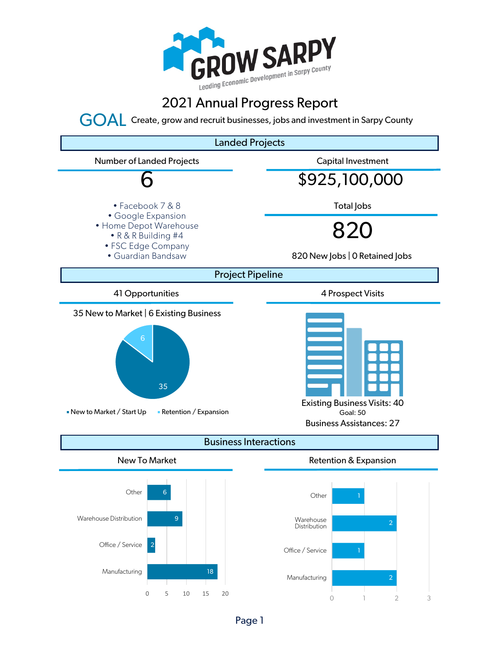

## 2021 Annual Progress Report

GOAL Create, grow and recruit businesses, jobs and investment in Sarpy County



Page 1